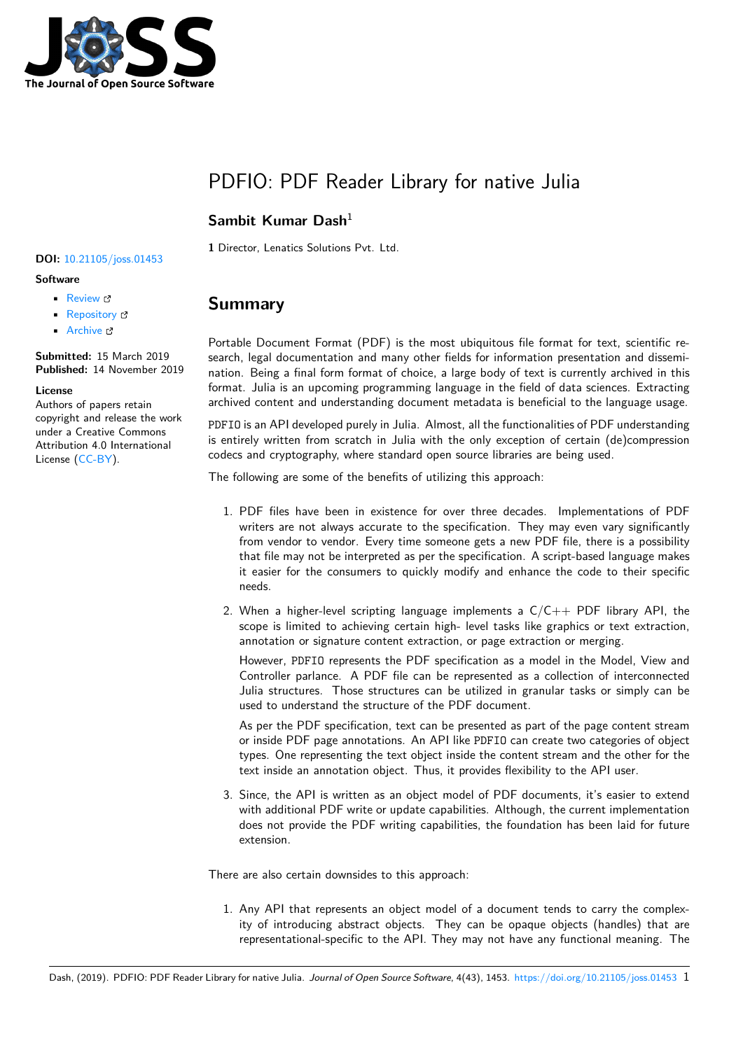

# PDFIO: PDF Reader Library for native Julia

### **Sambit Kumar Dash**<sup>1</sup>

**1** Director, Lenatics Solutions Pvt. Ltd.

#### **DOI:** 10.21105/joss.01453

### **Software**

- Review &
- [Repository](https://doi.org/10.21105/joss.01453) &
- Archive

**Subm[itted:](https://github.com/openjournals/joss-reviews/issues/1453)** 15 March 2019 **Published:** [14 No](https://github.com/sambitdash/PDFIO.jl)vember 2019

#### **Licen[se](https://doi.org/10.5281/zenodo.3541938)**

Authors of papers retain copyright and release the work under a Creative Commons Attribution 4.0 International License (CC-BY).

### **Summary**

Portable Document Format (PDF) is the most ubiquitous file format for text, scientific research, legal documentation and many other fields for information presentation and dissemination. Being a final form format of choice, a large body of text is currently archived in this format. Julia is an upcoming programming language in the field of data sciences. Extracting archived content and understanding document metadata is beneficial to the language usage.

PDFIO is an API developed purely in Julia. Almost, all the functionalities of PDF understanding is entirely written from scratch in Julia with the only exception of certain (de)compression codecs and cryptography, where standard open source libraries are being used.

The following are some of the benefits of utilizing this approach:

- 1. PDF files have been in existence for over three decades. Implementations of PDF writers are not always accurate to the specification. They may even vary significantly from vendor to vendor. Every time someone gets a new PDF file, there is a possibility that file may not be interpreted as per the specification. A script-based language makes it easier for the consumers to quickly modify and enhance the code to their specific needs.
- 2. When a higher-level scripting language implements a  $C/C++$  PDF library API, the scope is limited to achieving certain high- level tasks like graphics or text extraction, annotation or signature content extraction, or page extraction or merging.

However, PDFIO represents the PDF specification as a model in the Model, View and Controller parlance. A PDF file can be represented as a collection of interconnected Julia structures. Those structures can be utilized in granular tasks or simply can be used to understand the structure of the PDF document.

As per the PDF specification, text can be presented as part of the page content stream or inside PDF page annotations. An API like PDFIO can create two categories of object types. One representing the text object inside the content stream and the other for the text inside an annotation object. Thus, it provides flexibility to the API user.

3. Since, the API is written as an object model of PDF documents, it's easier to extend with additional PDF write or update capabilities. Although, the current implementation does not provide the PDF writing capabilities, the foundation has been laid for future extension.

There are also certain downsides to this approach:

1. Any API that represents an object model of a document tends to carry the complexity of introducing abstract objects. They can be opaque objects (handles) that are representational-specific to the API. They may not have any functional meaning. The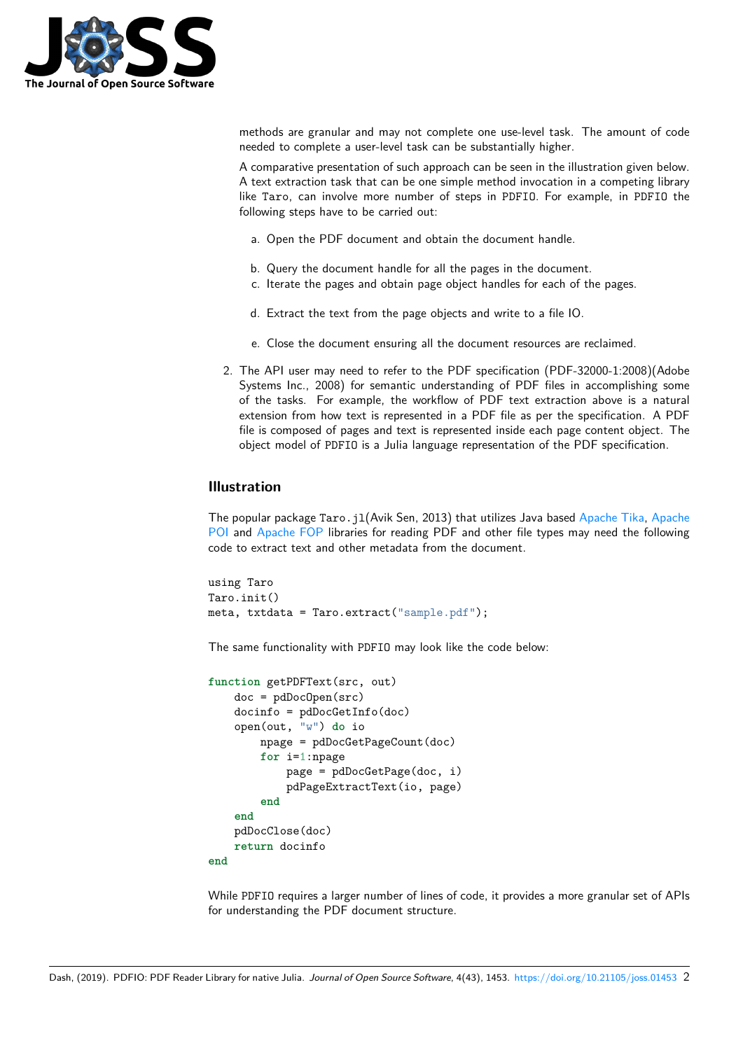

methods are granular and may not complete one use-level task. The amount of code needed to complete a user-level task can be substantially higher.

A comparative presentation of such approach can be seen in the illustration given below. A text extraction task that can be one simple method invocation in a competing library like Taro, can involve more number of steps in PDFIO. For example, in PDFIO the following steps have to be carried out:

- a. Open the PDF document and obtain the document handle.
- b. Query the document handle for all the pages in the document.
- c. Iterate the pages and obtain page object handles for each of the pages.
- d. Extract the text from the page objects and write to a file IO.
- e. Close the document ensuring all the document resources are reclaimed.
- 2. The API user may need to refer to the PDF specification (PDF-32000-1:2008)(Adobe Systems Inc., 2008) for semantic understanding of PDF files in accomplishing some of the tasks. For example, the workflow of PDF text extraction above is a natural extension from how text is represented in a PDF file as per the specification. A PDF file is composed of pages and text is represented inside each page content object. The object model of PDFIO is a Julia language representation of the PDF specification.

### **Illustration**

The popular package Taro. j1(Avik Sen, 2013) that utilizes Java based Apache Tika, Apache POI and Apache FOP libraries for reading PDF and other file types may need the following code to extract text and other metadata from the document.

```
using Taro
Taro.init()
meta, txtdata = Taro.extract("sample.pdf");
```
The same functionality with PDFIO may look like the code below:

```
function getPDFText(src, out)
    doc = pdDocOpen(src)
    docinfo = pdDocGetInfo(doc)
    open(out, "w") do io
        npage = pdDocGetPageCount(doc)
        for i=1:npage
            page = pdDocGetPage(doc, i)
            pdPageExtractText(io, page)
        end
    end
    pdDocClose(doc)
    return docinfo
end
```
While PDFIO requires a larger number of lines of code, it provides a more granular set of APIs for understanding the PDF document structure.